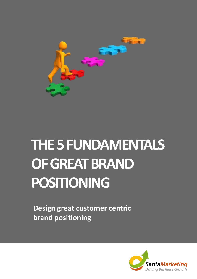

# **THE 5 FUNDAMENTALS OF GREAT BRAND POSITIONING**

**Design great customer centric brand positioning**

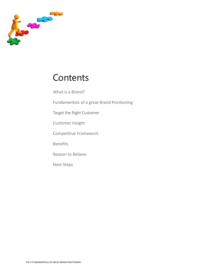

## **Contents**

What is a Brand?

Fundamentals of a great Brand Positioning

Target the Right Customer

Customer Insight

Competitive Framework

Benefits

Reason to Believe

Next Steps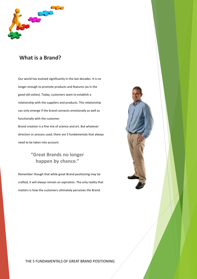

#### **What is a Brand?**

Our world has evolved significantly in the last decades. It is no longer enough to promote products and features (as in the good old sixties). Today, customers want to establish a relationship with the suppliers and products. This relationship can only emerge if the brand connects emotionally as well as functionally with the customer.

Brand creation is a fine mix of science and art. But whatever direction or process used, there are 5 fundamentals that always need to be taken into account.

#### **"Great Brands no longer happen by chance."**

Remember though that while great Brand positioning may be crafted, it will always remain an aspiration. The only reality that matters is how the customers ultimately perceives the Brand.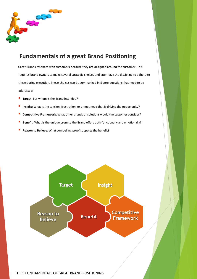

### **Fundamentals of a great Brand Positioning**

Great Brands resonate with customers because they are designed around the customer. This requires brand owners to make several strategic choices and later have the discipline to adhere to these during execution. These choices can be summarized in 5 core questions that need to be addressed:

- Target: For whom is the Brand intended?
- Insight: What is the tension, frustration, or unmet need that is driving the opportunity?
- Competitive Framework: What other brands or solutions would the customer consider?
- Benefit: What is the unique promise the Brand offers both functionally and emotionally?
- **Reason to Believe**: What compelling proof supports the benefit?

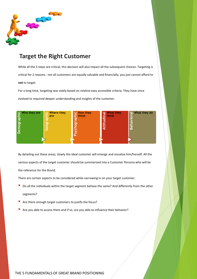

### **Target the Right Customer**

While all the 5 steps are critical, this decision will also impact all the subsequent choices. Targeting is critical for 2 reasons : not all customers are equally valuable and financially, you just cannot afford to **not** to target.

For a long time, targeting was solely based on relative easy accessible criteria. They have since evolved to required deeper understanding and insights of the customer.



By detailing out these areas, slowly the ideal customer will emerge and visualize him/herself. All the various aspects of the target customer should be summarized into a Customer Persona who will be the reference for the Brand.

There are certain aspects to be considered while narrowing in on your target customer.

- Do all the individuals within the target segment behave the same? And differently from the other segments?
- Are there enough target customers to justify the focus?
- Are you able to access them and if so, are you able to influence their behavior?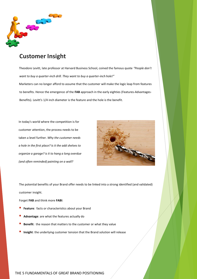

#### **Customer Insight**

Theodore Levitt, late professor at Harvard Business School, coined the famous quote *"People don't want to buy a quarter-inch drill. They want to buy a quarter-inch hole!"* Marketers can no longer afford to assume that the customer will make the logic leap from features to benefits. Hence the emergence of the **FAB** approach in the early eighties (Features-Advantages-Benefits). Levitt's 1/4 inch diameter is the feature and the hole is the benefit.

In today's world where the competition is for customer attention, the process needs to be taken a level further. *Why the customer needs a hole in the first place? Is it the add shelves to organize a garage? is it to hang a long overdue (and often reminded) painting on a wall?* 



The potential benefits of your Brand offer needs to be linked into a strong identified (and validated) customer insight.

Forget **FAB** and think more **FABI**:

- Feature: facts or characteristics about your Brand
- Advantage: are what the features actually do
- Benefit: the reason that matters to the customer or what they value
- Insight: the underlying customer tension that the Brand solution will release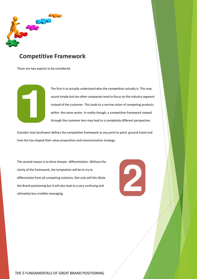

#### **Competitive Framework**

There are two aspects to be considered.



The first is to actually understand who the competition actually is. This may sound simple but too often companies tend to focus on the industry segment instead of the customer. This leads to a narrow vision of competing products within the same sector. In reality though, a competitive framework viewed through the customer lens may lead to a completely different perspective.

Consider how Southwest defines the competitive framework as any point to point ground travel and how this has shaped their value proposition and communication strategy.

The second reason is to drive sharper differentiation. Without the clarity of the framework, the temptation will be to try to differentiate from all competing solutions. Not only will this dilute the Brand positioning but it will also lead to a very confusing and ultimately less credible messaging.

2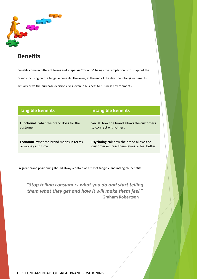

### **Benefits**

Benefits come in different forms and shape. As *"rational"* beings the temptation is to map out the Brands focusing on the tangible benefits. However, at the end of the day, the intangible benefits actually drive the purchase decisions (yes, even in business to business environments).

| <b>Tangible Benefits</b>                       | <b>Intangible Benefits</b>                        |
|------------------------------------------------|---------------------------------------------------|
| <b>Functional:</b> what the brand does for the | <b>Social:</b> how the brand allows the customers |
| customer                                       | to connect with others                            |
| <b>Economic:</b> what the brand means in terms | <b>Psychological:</b> how the brand allows the    |
| or money and time                              | customer express themselves or feel better.       |

A great brand positioning should always contain of a mix of tangible and intangible benefits.

*"Stop telling consumers what you do and start telling them what they get and how it will make them feel."* **Graham Robertson**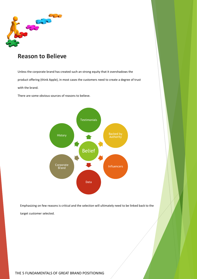

#### **Reason to Believe**

Unless the corporate brand has created such an strong equity that it overshadows the product offering (think Apple), in most cases the customers need to create a degree of trust with the brand.

There are some obvious sources of reasons to believe.



Emphasizing on few reasons is critical and the selection will ultimately need to be linked back to the target customer selected.